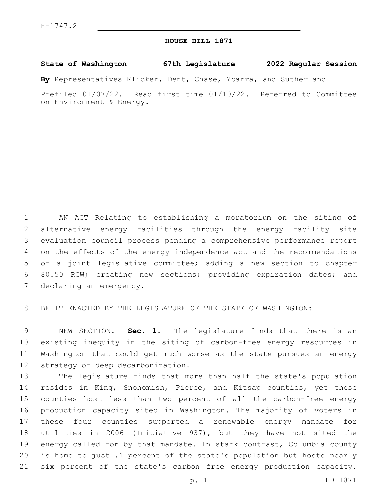## **HOUSE BILL 1871**

## **State of Washington 67th Legislature 2022 Regular Session**

**By** Representatives Klicker, Dent, Chase, Ybarra, and Sutherland

Prefiled 01/07/22. Read first time 01/10/22. Referred to Committee on Environment & Energy.

 AN ACT Relating to establishing a moratorium on the siting of alternative energy facilities through the energy facility site evaluation council process pending a comprehensive performance report on the effects of the energy independence act and the recommendations of a joint legislative committee; adding a new section to chapter 80.50 RCW; creating new sections; providing expiration dates; and 7 declaring an emergency.

BE IT ENACTED BY THE LEGISLATURE OF THE STATE OF WASHINGTON:

 NEW SECTION. **Sec. 1.** The legislature finds that there is an existing inequity in the siting of carbon-free energy resources in Washington that could get much worse as the state pursues an energy 12 strategy of deep decarbonization.

 The legislature finds that more than half the state's population resides in King, Snohomish, Pierce, and Kitsap counties, yet these counties host less than two percent of all the carbon-free energy production capacity sited in Washington. The majority of voters in these four counties supported a renewable energy mandate for utilities in 2006 (Initiative 937), but they have not sited the energy called for by that mandate. In stark contrast, Columbia county is home to just .1 percent of the state's population but hosts nearly six percent of the state's carbon free energy production capacity.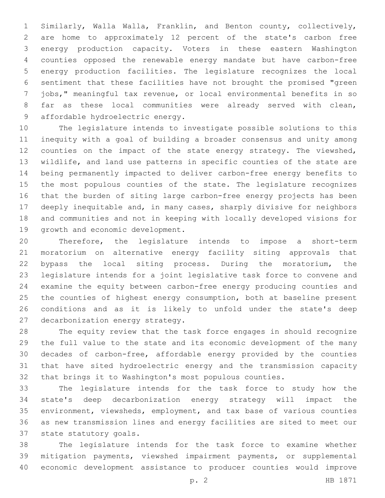Similarly, Walla Walla, Franklin, and Benton county, collectively, are home to approximately 12 percent of the state's carbon free energy production capacity. Voters in these eastern Washington counties opposed the renewable energy mandate but have carbon-free energy production facilities. The legislature recognizes the local sentiment that these facilities have not brought the promised "green jobs," meaningful tax revenue, or local environmental benefits in so 8 far as these local communities were already served with clean, 9 affordable hydroelectric energy.

 The legislature intends to investigate possible solutions to this inequity with a goal of building a broader consensus and unity among 12 counties on the impact of the state energy strategy. The viewshed, wildlife, and land use patterns in specific counties of the state are being permanently impacted to deliver carbon-free energy benefits to the most populous counties of the state. The legislature recognizes that the burden of siting large carbon-free energy projects has been deeply inequitable and, in many cases, sharply divisive for neighbors and communities and not in keeping with locally developed visions for 19 growth and economic development.

 Therefore, the legislature intends to impose a short-term moratorium on alternative energy facility siting approvals that bypass the local siting process. During the moratorium, the legislature intends for a joint legislative task force to convene and examine the equity between carbon-free energy producing counties and the counties of highest energy consumption, both at baseline present conditions and as it is likely to unfold under the state's deep 27 decarbonization energy strategy.

 The equity review that the task force engages in should recognize the full value to the state and its economic development of the many decades of carbon-free, affordable energy provided by the counties that have sited hydroelectric energy and the transmission capacity that brings it to Washington's most populous counties.

 The legislature intends for the task force to study how the state's deep decarbonization energy strategy will impact the environment, viewsheds, employment, and tax base of various counties as new transmission lines and energy facilities are sited to meet our 37 state statutory goals.

 The legislature intends for the task force to examine whether mitigation payments, viewshed impairment payments, or supplemental economic development assistance to producer counties would improve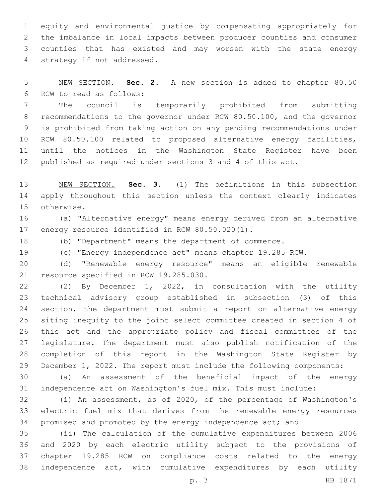equity and environmental justice by compensating appropriately for the imbalance in local impacts between producer counties and consumer counties that has existed and may worsen with the state energy 4 strategy if not addressed.

 NEW SECTION. **Sec. 2.** A new section is added to chapter 80.50 6 RCW to read as follows:

 The council is temporarily prohibited from submitting recommendations to the governor under RCW 80.50.100, and the governor is prohibited from taking action on any pending recommendations under 10 RCW 80.50.100 related to proposed alternative energy facilities, until the notices in the Washington State Register have been published as required under sections 3 and 4 of this act.

 NEW SECTION. **Sec. 3.** (1) The definitions in this subsection apply throughout this section unless the context clearly indicates otherwise.

 (a) "Alternative energy" means energy derived from an alternative 17 energy resource identified in RCW 80.50.020(1).

(b) "Department" means the department of commerce.

(c) "Energy independence act" means chapter 19.285 RCW.

 (d) "Renewable energy resource" means an eligible renewable 21 resource specified in RCW 19.285.030.

 (2) By December 1, 2022, in consultation with the utility technical advisory group established in subsection (3) of this section, the department must submit a report on alternative energy siting inequity to the joint select committee created in section 4 of this act and the appropriate policy and fiscal committees of the legislature. The department must also publish notification of the completion of this report in the Washington State Register by December 1, 2022. The report must include the following components:

 (a) An assessment of the beneficial impact of the energy independence act on Washington's fuel mix. This must include:

 (i) An assessment, as of 2020, of the percentage of Washington's electric fuel mix that derives from the renewable energy resources 34 promised and promoted by the energy independence act; and

 (ii) The calculation of the cumulative expenditures between 2006 and 2020 by each electric utility subject to the provisions of chapter 19.285 RCW on compliance costs related to the energy independence act, with cumulative expenditures by each utility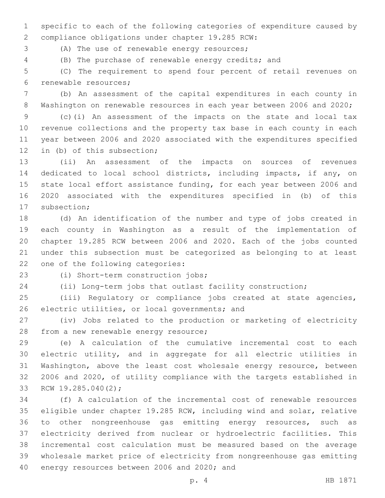specific to each of the following categories of expenditure caused by 2 compliance obligations under chapter 19.285 RCW:

3 (A) The use of renewable energy resources;

(B) The purchase of renewable energy credits; and

 (C) The requirement to spend four percent of retail revenues on 6 renewable resources;

 (b) An assessment of the capital expenditures in each county in Washington on renewable resources in each year between 2006 and 2020;

 (c)(i) An assessment of the impacts on the state and local tax revenue collections and the property tax base in each county in each year between 2006 and 2020 associated with the expenditures specified 12 in (b) of this subsection;

 (ii) An assessment of the impacts on sources of revenues dedicated to local school districts, including impacts, if any, on state local effort assistance funding, for each year between 2006 and 2020 associated with the expenditures specified in (b) of this 17 subsection;

 (d) An identification of the number and type of jobs created in each county in Washington as a result of the implementation of chapter 19.285 RCW between 2006 and 2020. Each of the jobs counted under this subsection must be categorized as belonging to at least 22 one of the following categories:

(i) Short-term construction jobs;23

(ii) Long-term jobs that outlast facility construction;

 (iii) Regulatory or compliance jobs created at state agencies, 26 electric utilities, or local governments; and

 (iv) Jobs related to the production or marketing of electricity 28 from a new renewable energy resource;

 (e) A calculation of the cumulative incremental cost to each electric utility, and in aggregate for all electric utilities in Washington, above the least cost wholesale energy resource, between 2006 and 2020, of utility compliance with the targets established in 33 RCW 19.285.040(2);

 (f) A calculation of the incremental cost of renewable resources eligible under chapter 19.285 RCW, including wind and solar, relative to other nongreenhouse gas emitting energy resources, such as electricity derived from nuclear or hydroelectric facilities. This incremental cost calculation must be measured based on the average wholesale market price of electricity from nongreenhouse gas emitting 40 energy resources between 2006 and 2020; and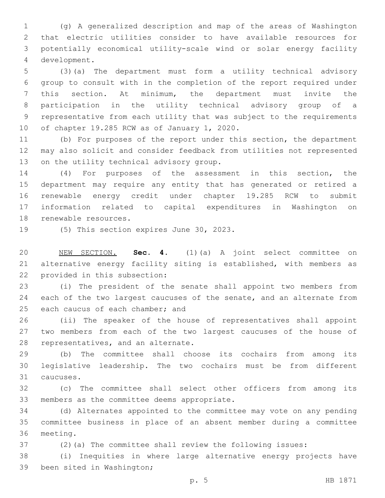(g) A generalized description and map of the areas of Washington that electric utilities consider to have available resources for potentially economical utility-scale wind or solar energy facility development.4

 (3)(a) The department must form a utility technical advisory group to consult with in the completion of the report required under this section. At minimum, the department must invite the participation in the utility technical advisory group of a representative from each utility that was subject to the requirements 10 of chapter 19.285 RCW as of January 1, 2020.

 (b) For purposes of the report under this section, the department may also solicit and consider feedback from utilities not represented 13 on the utility technical advisory group.

 (4) For purposes of the assessment in this section, the department may require any entity that has generated or retired a renewable energy credit under chapter 19.285 RCW to submit information related to capital expenditures in Washington on 18 renewable resources.

19 (5) This section expires June 30, 2023.

 NEW SECTION. **Sec. 4.** (1)(a) A joint select committee on alternative energy facility siting is established, with members as provided in this subsection:

 (i) The president of the senate shall appoint two members from 24 each of the two largest caucuses of the senate, and an alternate from 25 each caucus of each chamber; and

 (ii) The speaker of the house of representatives shall appoint two members from each of the two largest caucuses of the house of 28 representatives, and an alternate.

 (b) The committee shall choose its cochairs from among its legislative leadership. The two cochairs must be from different caucuses.31

 (c) The committee shall select other officers from among its 33 members as the committee deems appropriate.

 (d) Alternates appointed to the committee may vote on any pending committee business in place of an absent member during a committee 36 meeting.

(2)(a) The committee shall review the following issues:

 (i) Inequities in where large alternative energy projects have 39 been sited in Washington;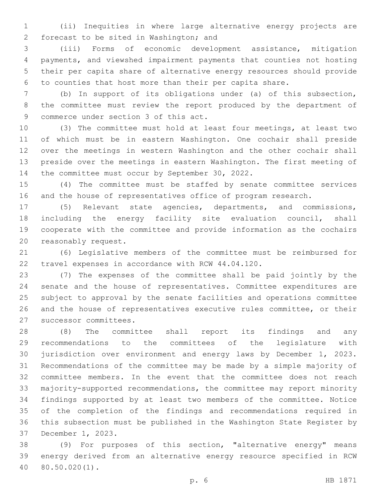(ii) Inequities in where large alternative energy projects are forecast to be sited in Washington; and2

 (iii) Forms of economic development assistance, mitigation payments, and viewshed impairment payments that counties not hosting their per capita share of alternative energy resources should provide to counties that host more than their per capita share.

 (b) In support of its obligations under (a) of this subsection, the committee must review the report produced by the department of 9 commerce under section 3 of this act.

 (3) The committee must hold at least four meetings, at least two of which must be in eastern Washington. One cochair shall preside over the meetings in western Washington and the other cochair shall preside over the meetings in eastern Washington. The first meeting of 14 the committee must occur by September 30, 2022.

 (4) The committee must be staffed by senate committee services and the house of representatives office of program research.

 (5) Relevant state agencies, departments, and commissions, including the energy facility site evaluation council, shall cooperate with the committee and provide information as the cochairs 20 reasonably request.

 (6) Legislative members of the committee must be reimbursed for 22 travel expenses in accordance with RCW 44.04.120.

 (7) The expenses of the committee shall be paid jointly by the senate and the house of representatives. Committee expenditures are subject to approval by the senate facilities and operations committee and the house of representatives executive rules committee, or their 27 successor committees.

 (8) The committee shall report its findings and any recommendations to the committees of the legislature with jurisdiction over environment and energy laws by December 1, 2023. Recommendations of the committee may be made by a simple majority of committee members. In the event that the committee does not reach majority-supported recommendations, the committee may report minority findings supported by at least two members of the committee. Notice of the completion of the findings and recommendations required in this subsection must be published in the Washington State Register by 37 December 1, 2023.

 (9) For purposes of this section, "alternative energy" means energy derived from an alternative energy resource specified in RCW 80.50.020(1).40